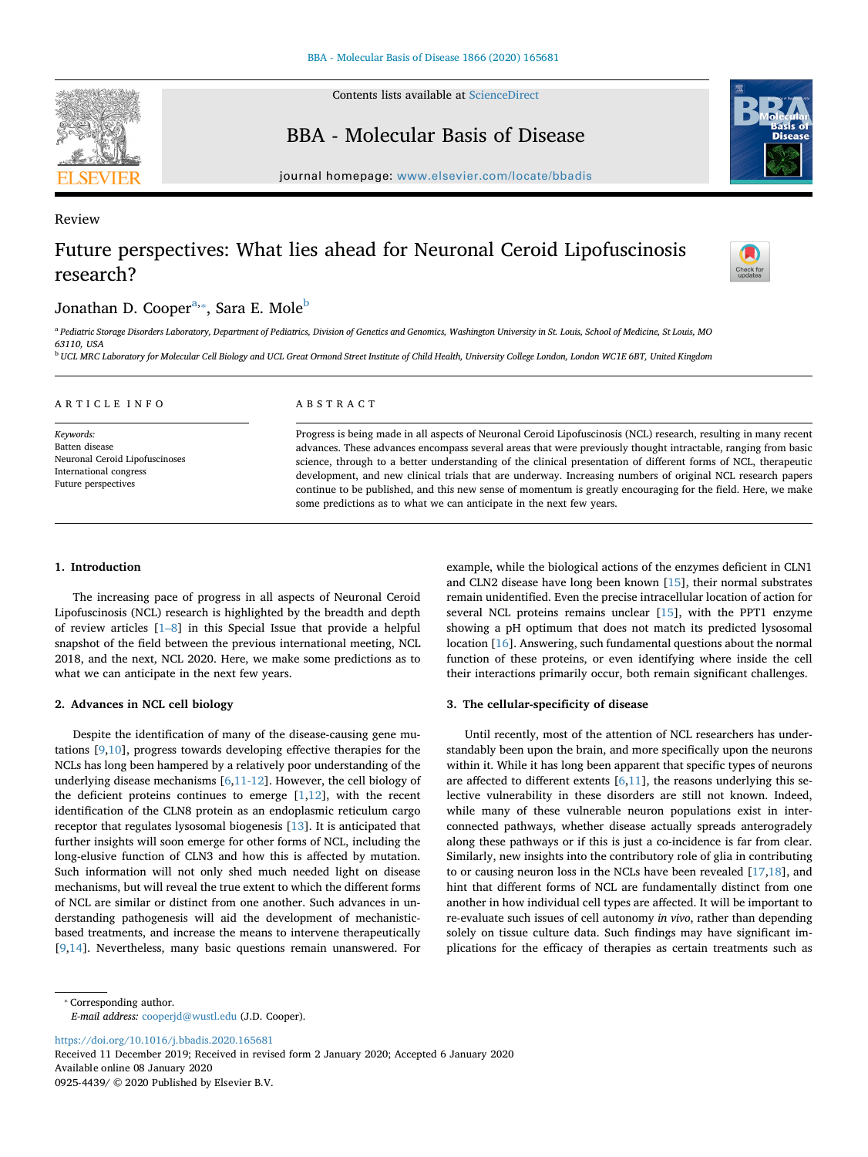

Review

Contents lists available at [ScienceDirect](http://www.sciencedirect.com/science/journal/09254439)

BBA - Molecular Basis of Disease



journal homepage: [www.elsevier.com/locate/bbadis](https://www.elsevier.com/locate/bbadis)

# Future perspectives: What lies ahead for Neuronal Ceroid Lipofuscinosis research?



# Jonathan D. Cooper<sup>[a,](#page-0-0)</sup>\*, Sara E. Mole<sup>b</sup>

<span id="page-0-0"></span><sup>a</sup> *Pediatric Storage Disorders Laboratory, Department of Pediatrics, Division of Genetics and Genomics, Washington University in St. Louis, School of Medicine, St Louis, MO 63110, USA*

<span id="page-0-2"></span><sup>b</sup> *UCL MRC Laboratory for Molecular Cell Biology and UCL Great Ormond Street Institute of Child Health, University College London, London WC1E 6BT, United Kingdom*

| ARTICLE INFO                                                                    | ABSTRACT                                                                                                         |
|---------------------------------------------------------------------------------|------------------------------------------------------------------------------------------------------------------|
| Keywords:                                                                       | Progress is being made in all aspects of Neuronal Ceroid Lipofuscinosis (NCL) research, resulting in many recent |
| Batten disease                                                                  | advances. These advances encompass several areas that were previously thought intractable, ranging from basic    |
| Neuronal Ceroid Lipofuscinoses<br>International congress<br>Future perspectives | science, through to a better understanding of the clinical presentation of different forms of NCL, therapeutic   |
|                                                                                 | development, and new clinical trials that are underway. Increasing numbers of original NCL research papers       |
|                                                                                 | continue to be published, and this new sense of momentum is greatly encouraging for the field. Here, we make     |
|                                                                                 | some predictions as to what we can anticipate in the next few years.                                             |

#### **1. Introduction**

The increasing pace of progress in all aspects of Neuronal Ceroid Lipofuscinosis (NCL) research is highlighted by the breadth and depth of review articles [[1–8\]](#page-2-0) in this Special Issue that provide a helpful snapshot of the field between the previous international meeting, NCL 2018, and the next, NCL 2020. Here, we make some predictions as to what we can anticipate in the next few years.

## **2. Advances in NCL cell biology**

Despite the identification of many of the disease-causing gene mutations [[9](#page-2-1)[,10](#page-2-2)], progress towards developing effective therapies for the NCLs has long been hampered by a relatively poor understanding of the underlying disease mechanisms [\[6,](#page-2-3)[11-12](#page-2-4)]. However, the cell biology of the deficient proteins continues to emerge  $[1,12]$  $[1,12]$  $[1,12]$  $[1,12]$ , with the recent identification of the CLN8 protein as an endoplasmic reticulum cargo receptor that regulates lysosomal biogenesis [[13\]](#page-2-6). It is anticipated that further insights will soon emerge for other forms of NCL, including the long-elusive function of CLN3 and how this is affected by mutation. Such information will not only shed much needed light on disease mechanisms, but will reveal the true extent to which the different forms of NCL are similar or distinct from one another. Such advances in understanding pathogenesis will aid the development of mechanisticbased treatments, and increase the means to intervene therapeutically [[9](#page-2-1),[14\]](#page-2-7). Nevertheless, many basic questions remain unanswered. For

example, while the biological actions of the enzymes deficient in CLN1 and CLN2 disease have long been known [\[15](#page-2-8)], their normal substrates remain unidentified. Even the precise intracellular location of action for several NCL proteins remains unclear [[15\]](#page-2-8), with the PPT1 enzyme showing a pH optimum that does not match its predicted lysosomal location [\[16](#page-2-9)]. Answering, such fundamental questions about the normal function of these proteins, or even identifying where inside the cell their interactions primarily occur, both remain significant challenges.

## **3. The cellular-specificity of disease**

Until recently, most of the attention of NCL researchers has understandably been upon the brain, and more specifically upon the neurons within it. While it has long been apparent that specific types of neurons are affected to different extents  $[6,11]$  $[6,11]$  $[6,11]$  $[6,11]$ , the reasons underlying this selective vulnerability in these disorders are still not known. Indeed, while many of these vulnerable neuron populations exist in interconnected pathways, whether disease actually spreads anterogradely along these pathways or if this is just a co-incidence is far from clear. Similarly, new insights into the contributory role of glia in contributing to or causing neuron loss in the NCLs have been revealed [\[17](#page-2-10),[18](#page-2-11)], and hint that different forms of NCL are fundamentally distinct from one another in how individual cell types are affected. It will be important to re-evaluate such issues of cell autonomy *in vivo*, rather than depending solely on tissue culture data. Such findings may have significant implications for the efficacy of therapies as certain treatments such as

*E-mail address:* [cooperjd@wustl.edu](mailto:cooperjd@wustl.edu) (J.D. Cooper).

<https://doi.org/10.1016/j.bbadis.2020.165681> Received 11 December 2019; Received in revised form 2 January 2020; Accepted 6 January 2020 Available online 08 January 2020 0925-4439/ © 2020 Published by Elsevier B.V.

<span id="page-0-1"></span><sup>⁎</sup> Corresponding author.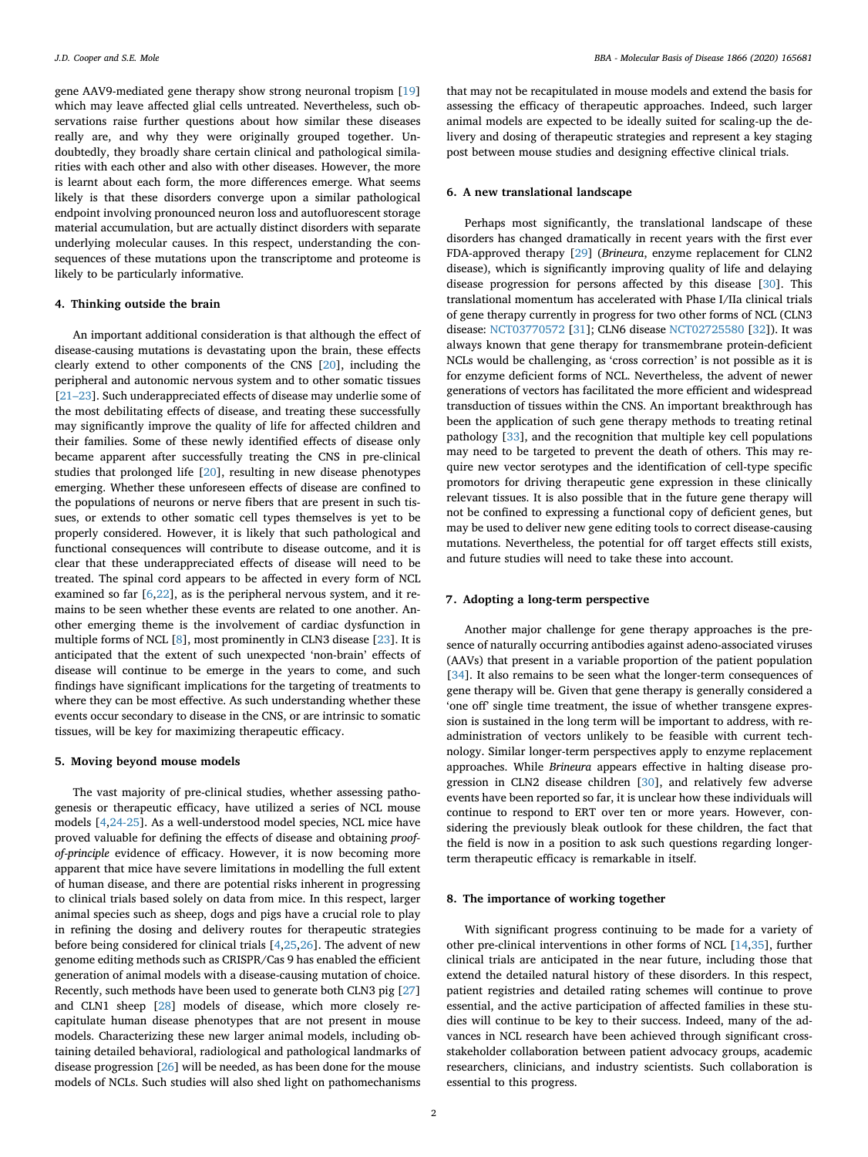gene AAV9-mediated gene therapy show strong neuronal tropism [\[19](#page-2-12)] which may leave affected glial cells untreated. Nevertheless, such observations raise further questions about how similar these diseases really are, and why they were originally grouped together. Undoubtedly, they broadly share certain clinical and pathological similarities with each other and also with other diseases. However, the more is learnt about each form, the more differences emerge. What seems likely is that these disorders converge upon a similar pathological endpoint involving pronounced neuron loss and autofluorescent storage material accumulation, but are actually distinct disorders with separate underlying molecular causes. In this respect, understanding the consequences of these mutations upon the transcriptome and proteome is likely to be particularly informative.

#### **4. Thinking outside the brain**

An important additional consideration is that although the effect of disease-causing mutations is devastating upon the brain, these effects clearly extend to other components of the CNS [[20\]](#page-2-13), including the peripheral and autonomic nervous system and to other somatic tissues [[21–23\]](#page-2-14). Such underappreciated effects of disease may underlie some of the most debilitating effects of disease, and treating these successfully may significantly improve the quality of life for affected children and their families. Some of these newly identified effects of disease only became apparent after successfully treating the CNS in pre-clinical studies that prolonged life [[20\]](#page-2-13), resulting in new disease phenotypes emerging. Whether these unforeseen effects of disease are confined to the populations of neurons or nerve fibers that are present in such tissues, or extends to other somatic cell types themselves is yet to be properly considered. However, it is likely that such pathological and functional consequences will contribute to disease outcome, and it is clear that these underappreciated effects of disease will need to be treated. The spinal cord appears to be affected in every form of NCL examined so far [[6](#page-2-3)[,22](#page-2-15)], as is the peripheral nervous system, and it remains to be seen whether these events are related to one another. Another emerging theme is the involvement of cardiac dysfunction in multiple forms of NCL [[8](#page-2-16)], most prominently in CLN3 disease [[23\]](#page-2-17). It is anticipated that the extent of such unexpected 'non-brain' effects of disease will continue to be emerge in the years to come, and such findings have significant implications for the targeting of treatments to where they can be most effective. As such understanding whether these events occur secondary to disease in the CNS, or are intrinsic to somatic tissues, will be key for maximizing therapeutic efficacy.

#### **5. Moving beyond mouse models**

The vast majority of pre-clinical studies, whether assessing pathogenesis or therapeutic efficacy, have utilized a series of NCL mouse models [[4](#page-2-18)[,24-25\]](#page-2-19). As a well-understood model species, NCL mice have proved valuable for defining the effects of disease and obtaining *proofof-principle* evidence of efficacy. However, it is now becoming more apparent that mice have severe limitations in modelling the full extent of human disease, and there are potential risks inherent in progressing to clinical trials based solely on data from mice. In this respect, larger animal species such as sheep, dogs and pigs have a crucial role to play in refining the dosing and delivery routes for therapeutic strategies before being considered for clinical trials [\[4,](#page-2-18)[25,](#page-2-20)[26](#page-2-21)]. The advent of new genome editing methods such as CRISPR/Cas 9 has enabled the efficient generation of animal models with a disease-causing mutation of choice. Recently, such methods have been used to generate both CLN3 pig [\[27](#page-2-22)] and CLN1 sheep [[28\]](#page-2-23) models of disease, which more closely recapitulate human disease phenotypes that are not present in mouse models. Characterizing these new larger animal models, including obtaining detailed behavioral, radiological and pathological landmarks of disease progression [[26\]](#page-2-21) will be needed, as has been done for the mouse models of NCLs. Such studies will also shed light on pathomechanisms

that may not be recapitulated in mouse models and extend the basis for assessing the efficacy of therapeutic approaches. Indeed, such larger animal models are expected to be ideally suited for scaling-up the delivery and dosing of therapeutic strategies and represent a key staging post between mouse studies and designing effective clinical trials.

#### **6. A new translational landscape**

Perhaps most significantly, the translational landscape of these disorders has changed dramatically in recent years with the first ever FDA-approved therapy [[29](#page-2-24)] (*Brineura*, enzyme replacement for CLN2 disease), which is significantly improving quality of life and delaying disease progression for persons affected by this disease [[30\]](#page-2-25). This translational momentum has accelerated with Phase I/IIa clinical trials of gene therapy currently in progress for two other forms of NCL (CLN3 disease: [NCT03770572](http://clinicaltrials.gov/show/NCT03770572) [\[31](#page-2-26)]; CLN6 disease [NCT02725580](http://clinicaltrials.gov/show/NCT02725580) [[32\]](#page-2-27)). It was always known that gene therapy for transmembrane protein-deficient NCLs would be challenging, as 'cross correction' is not possible as it is for enzyme deficient forms of NCL. Nevertheless, the advent of newer generations of vectors has facilitated the more efficient and widespread transduction of tissues within the CNS. An important breakthrough has been the application of such gene therapy methods to treating retinal pathology [[33\]](#page-2-28), and the recognition that multiple key cell populations may need to be targeted to prevent the death of others. This may require new vector serotypes and the identification of cell-type specific promotors for driving therapeutic gene expression in these clinically relevant tissues. It is also possible that in the future gene therapy will not be confined to expressing a functional copy of deficient genes, but may be used to deliver new gene editing tools to correct disease-causing mutations. Nevertheless, the potential for off target effects still exists, and future studies will need to take these into account.

## **7. Adopting a long-term perspective**

Another major challenge for gene therapy approaches is the presence of naturally occurring antibodies against adeno-associated viruses (AAVs) that present in a variable proportion of the patient population [[34\]](#page-2-29). It also remains to be seen what the longer-term consequences of gene therapy will be. Given that gene therapy is generally considered a 'one off' single time treatment, the issue of whether transgene expression is sustained in the long term will be important to address, with readministration of vectors unlikely to be feasible with current technology. Similar longer-term perspectives apply to enzyme replacement approaches. While *Brineura* appears effective in halting disease progression in CLN2 disease children [\[30](#page-2-25)], and relatively few adverse events have been reported so far, it is unclear how these individuals will continue to respond to ERT over ten or more years. However, considering the previously bleak outlook for these children, the fact that the field is now in a position to ask such questions regarding longerterm therapeutic efficacy is remarkable in itself.

#### **8. The importance of working together**

With significant progress continuing to be made for a variety of other pre-clinical interventions in other forms of NCL [[14,](#page-2-7)[35\]](#page-2-30), further clinical trials are anticipated in the near future, including those that extend the detailed natural history of these disorders. In this respect, patient registries and detailed rating schemes will continue to prove essential, and the active participation of affected families in these studies will continue to be key to their success. Indeed, many of the advances in NCL research have been achieved through significant crossstakeholder collaboration between patient advocacy groups, academic researchers, clinicians, and industry scientists. Such collaboration is essential to this progress.